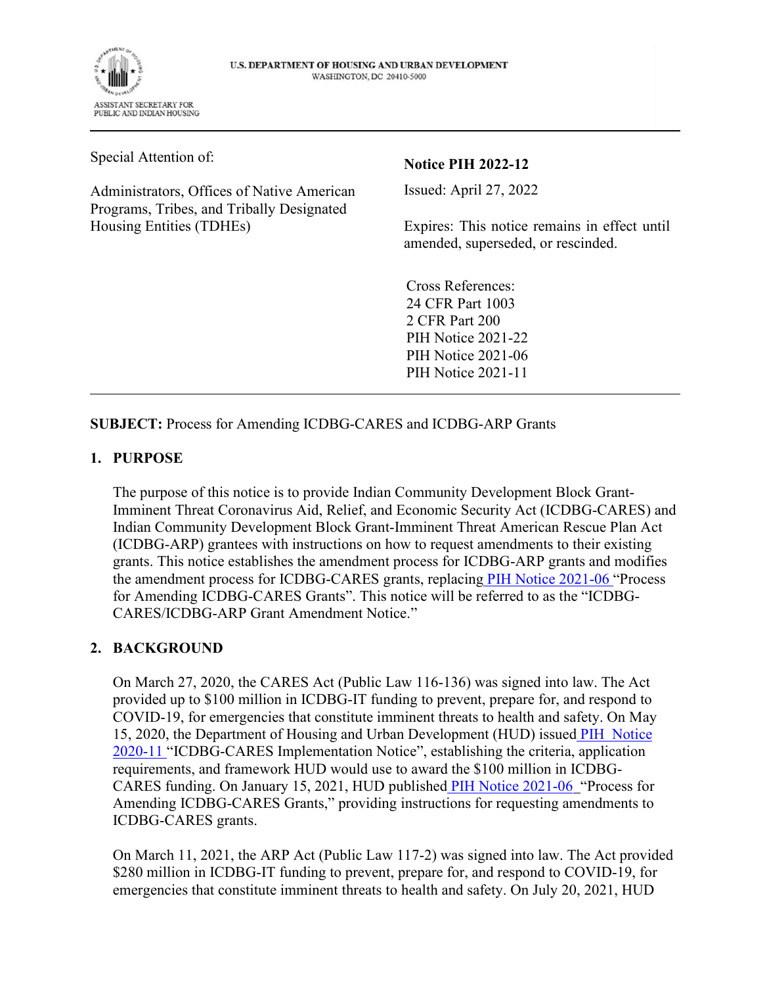

U.S. DEPARTMENT OF HOUSING AND URBAN DEVELOPMENT **WASHINGTON, DC 20410-5000** 

Special Attention of:

Administrators, Offices of Native American Programs, Tribes, and Tribally Designated Housing Entities (TDHEs)

## **Notice PIH 2022-12**

Issued: April 27, 2022

Expires: This notice remains in effect until amended, superseded, or rescinded.

Cross References: 24 CFR Part 1003 2 CFR Part 200 PIH Notice 2021-22 PIH Notice 2021-06 PIH Notice 2021-11

**SUBJECT:** Process for Amending ICDBG-CARES and ICDBG-ARP Grants

#### **1. PURPOSE**

The purpose of this notice is to provide Indian Community Development Block Grant-Imminent Threat Coronavirus Aid, Relief, and Economic Security Act (ICDBG-CARES) and Indian Community Development Block Grant-Imminent Threat American Rescue Plan Act (ICDBG-ARP) grantees with instructions on how to request amendments to their existing grants. This notice establishes the amendment process for ICDBG-ARP grants and modifies the amendment process for ICDBG-CARES grants, replacin[g PIH Notice 2021-06](https://www.hud.gov/sites/dfiles/PIH/documents/pih2021-06.pdf) "Process for Amending ICDBG-CARES Grants". This notice will be referred to as the "ICDBG-CARES/ICDBG-ARP Grant Amendment Notice."

## **2. BACKGROUND**

On March 27, 2020, the CARES Act (Public Law 116-136) was signed into law. The Act provided up to \$100 million in ICDBG-IT funding to prevent, prepare for, and respond to COVID-19, for emergencies that constitute imminent threats to health and safety. On May 15, 2020, the Department of Housing and Urban Development (HUD) issue[d PIH Notice](https://www.hud.gov/sites/dfiles/OCHCO/documents/2020-11pihn.pdf)  [2020-11](https://www.hud.gov/sites/dfiles/OCHCO/documents/2020-11pihn.pdf) "ICDBG-CARES Implementation Notice", establishing the criteria, application requirements, and framework HUD would use to award the \$100 million in ICDBG-CARES funding. On January 15, 2021, HUD publishe[d PIH Notice 2021-06](https://www.hud.gov/sites/dfiles/PIH/documents/pih2021-06.pdf) "Process for Amending ICDBG-CARES Grants," providing instructions for requesting amendments to ICDBG-CARES grants.

On March 11, 2021, the ARP Act (Public Law 117-2) was signed into law. The Act provided \$280 million in ICDBG-IT funding to prevent, prepare for, and respond to COVID-19, for emergencies that constitute imminent threats to health and safety. On July 20, 2021, HUD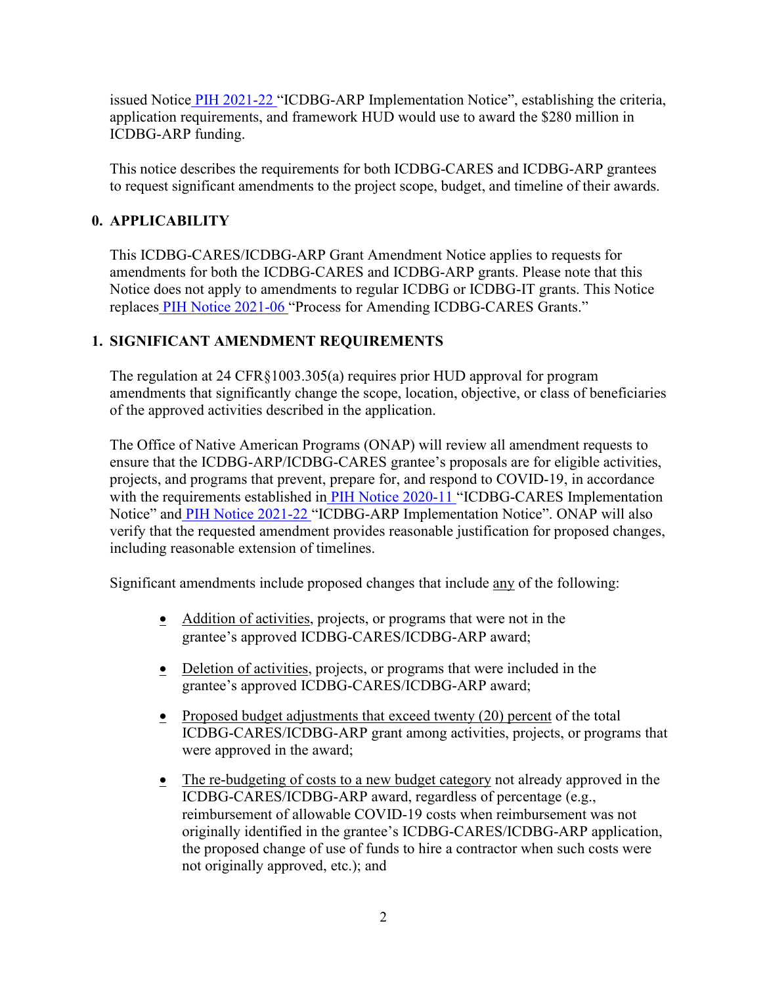issued Notic[e PIH 2021-22](https://www.hud.gov/sites/dfiles/PIH/documents/PIH2021-22.pdf) "ICDBG-ARP Implementation Notice", establishing the criteria, application requirements, and framework HUD would use to award the \$280 million in ICDBG-ARP funding.

This notice describes the requirements for both ICDBG-CARES and ICDBG-ARP grantees to request significant amendments to the project scope, budget, and timeline of their awards.

## **0. APPLICABILITY**

This ICDBG-CARES/ICDBG-ARP Grant Amendment Notice applies to requests for amendments for both the ICDBG-CARES and ICDBG-ARP grants. Please note that this Notice does not apply to amendments to regular ICDBG or ICDBG-IT grants. This Notice replace[s PIH Notice 2021-06](https://www.hud.gov/sites/dfiles/PIH/documents/pih2021-06.pdf) "Process for Amending ICDBG-CARES Grants."

# **1. SIGNIFICANT AMENDMENT REQUIREMENTS**

The regulation at 24 CFR§1003.305(a) requires prior HUD approval for program amendments that significantly change the scope, location, objective, or class of beneficiaries of the approved activities described in the application.

The Office of Native American Programs (ONAP) will review all amendment requests to ensure that the ICDBG-ARP/ICDBG-CARES grantee's proposals are for eligible activities, projects, and programs that prevent, prepare for, and respond to COVID-19, in accordance with the requirements established i[n PIH Notice 2020-11](https://www.hud.gov/sites/dfiles/OCHCO/documents/2020-11pihn.pdf) "ICDBG-CARES Implementation Notice" an[d PIH Notice 2021-22](https://www.hud.gov/sites/dfiles/PIH/documents/PIH2021-22.pdf) "ICDBG-ARP Implementation Notice". ONAP will also verify that the requested amendment provides reasonable justification for proposed changes, including reasonable extension of timelines.

Significant amendments include proposed changes that include any of the following:

- Addition of activities, projects, or programs that were not in the grantee's approved ICDBG-CARES/ICDBG-ARP award;
- Deletion of activities, projects, or programs that were included in the grantee's approved ICDBG-CARES/ICDBG-ARP award;
- Proposed budget adjustments that exceed twenty  $(20)$  percent of the total ICDBG-CARES/ICDBG-ARP grant among activities, projects, or programs that were approved in the award;
- The re-budgeting of costs to a new budget category not already approved in the ICDBG-CARES/ICDBG-ARP award, regardless of percentage (e.g., reimbursement of allowable COVID-19 costs when reimbursement was not originally identified in the grantee's ICDBG-CARES/ICDBG-ARP application, the proposed change of use of funds to hire a contractor when such costs were not originally approved, etc.); and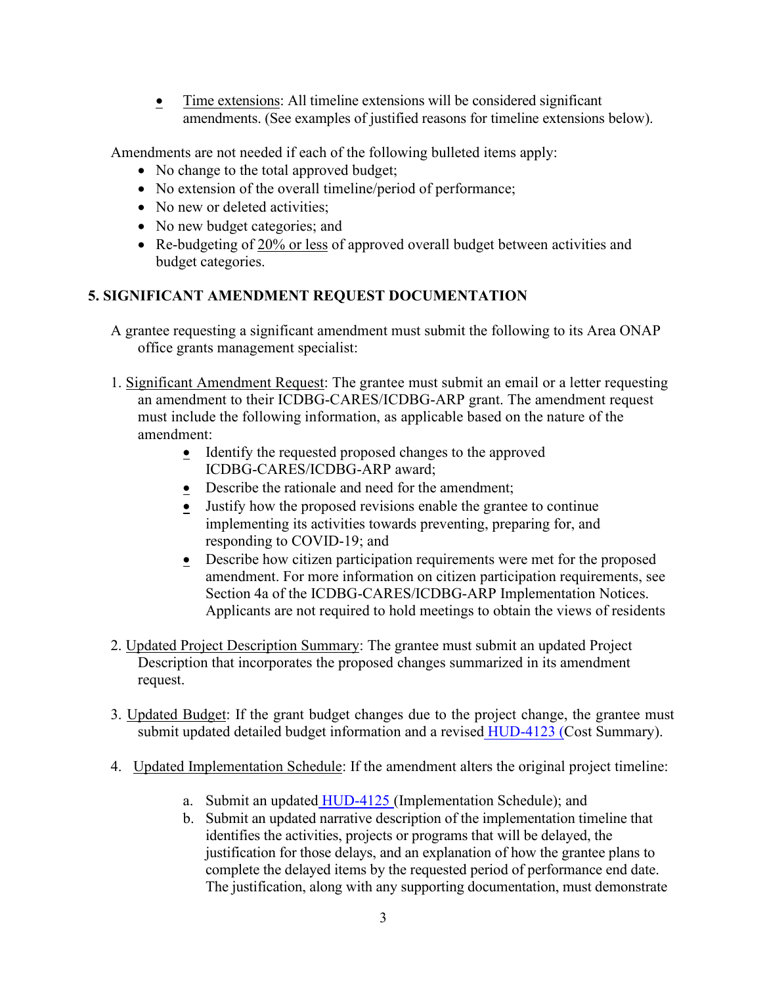**Time extensions:** All timeline extensions will be considered significant amendments. (See examples of justified reasons for timeline extensions below).

Amendments are not needed if each of the following bulleted items apply:

- No change to the total approved budget;
- No extension of the overall timeline/period of performance;
- No new or deleted activities:
- No new budget categories; and
- Re-budgeting of 20% or less of approved overall budget between activities and budget categories.

#### **5. SIGNIFICANT AMENDMENT REQUEST DOCUMENTATION**

- A grantee requesting a significant amendment must submit the following to its Area ONAP office grants management specialist:
- 1. Significant Amendment Request: The grantee must submit an email or a letter requesting an amendment to their ICDBG-CARES/ICDBG-ARP grant. The amendment request must include the following information, as applicable based on the nature of the amendment:
	- **IDENTIFY** the requested proposed changes to the approved ICDBG-CARES/ICDBG-ARP award;
	- Describe the rationale and need for the amendment;
	- Justify how the proposed revisions enable the grantee to continue implementing its activities towards preventing, preparing for, and responding to COVID-19; and
	- **•** Describe how citizen participation requirements were met for the proposed amendment. For more information on citizen participation requirements, see Section 4a of the ICDBG-CARES/ICDBG-ARP Implementation Notices. Applicants are not required to hold meetings to obtain the views of residents
- 2. Updated Project Description Summary: The grantee must submit an updated Project Description that incorporates the proposed changes summarized in its amendment request.
- 3. Updated Budget: If the grant budget changes due to the project change, the grantee must submit updated detailed budget information and a revise[d HUD-4123 \(C](https://www.hud.gov/sites/dfiles/OCHCO/documents/HUD-4123.pdf)ost Summary).
- 4. Updated Implementation Schedule: If the amendment alters the original project timeline:
	- a. Submit an update[d HUD-4125](https://www.hud.gov/sites/dfiles/OCHCO/documents/HUD-4125.pdf) (Implementation Schedule); and
	- b. Submit an updated narrative description of the implementation timeline that identifies the activities, projects or programs that will be delayed, the justification for those delays, and an explanation of how the grantee plans to complete the delayed items by the requested period of performance end date. The justification, along with any supporting documentation, must demonstrate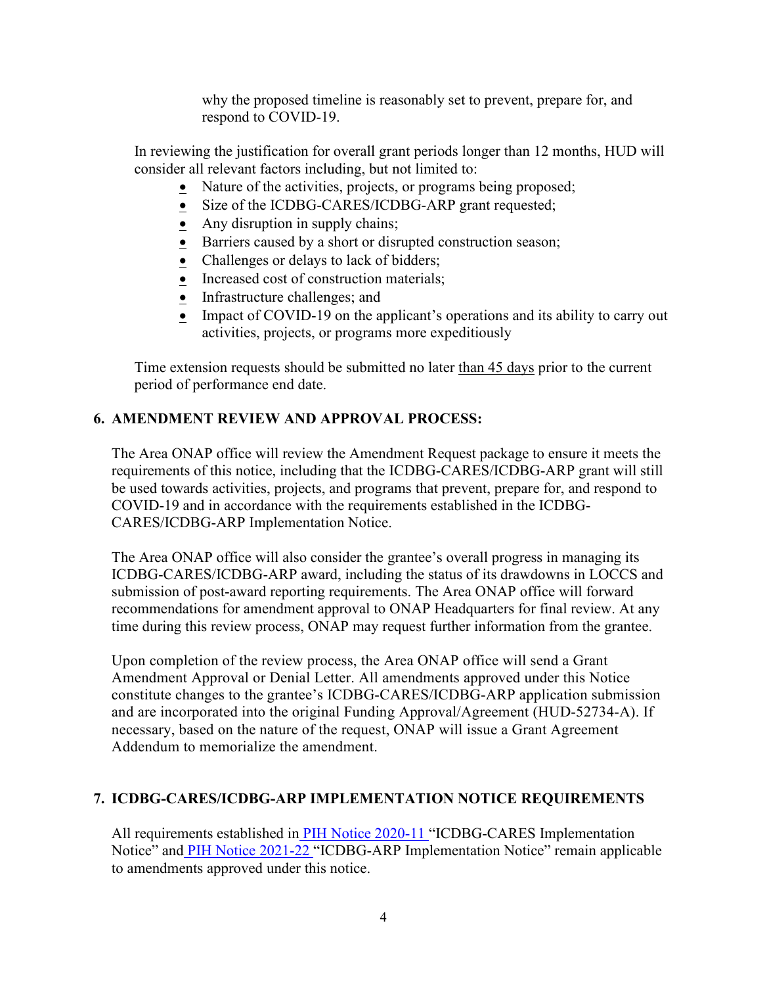why the proposed timeline is reasonably set to prevent, prepare for, and respond to COVID-19.

In reviewing the justification for overall grant periods longer than 12 months, HUD will consider all relevant factors including, but not limited to:

- Nature of the activities, projects, or programs being proposed;
- Size of the ICDBG-CARES/ICDBG-ARP grant requested;
- $\bullet$  Any disruption in supply chains;
- Barriers caused by a short or disrupted construction season;
- Challenges or delays to lack of bidders;
- Increased cost of construction materials;
- Infrastructure challenges; and
- Impact of COVID-19 on the applicant's operations and its ability to carry out activities, projects, or programs more expeditiously

Time extension requests should be submitted no later than 45 days prior to the current period of performance end date.

## **6. AMENDMENT REVIEW AND APPROVAL PROCESS:**

The Area ONAP office will review the Amendment Request package to ensure it meets the requirements of this notice, including that the ICDBG-CARES/ICDBG-ARP grant will still be used towards activities, projects, and programs that prevent, prepare for, and respond to COVID-19 and in accordance with the requirements established in the ICDBG-CARES/ICDBG-ARP Implementation Notice.

The Area ONAP office will also consider the grantee's overall progress in managing its ICDBG-CARES/ICDBG-ARP award, including the status of its drawdowns in LOCCS and submission of post-award reporting requirements. The Area ONAP office will forward recommendations for amendment approval to ONAP Headquarters for final review. At any time during this review process, ONAP may request further information from the grantee.

Upon completion of the review process, the Area ONAP office will send a Grant Amendment Approval or Denial Letter. All amendments approved under this Notice constitute changes to the grantee's ICDBG-CARES/ICDBG-ARP application submission and are incorporated into the original Funding Approval/Agreement (HUD-52734-A). If necessary, based on the nature of the request, ONAP will issue a Grant Agreement Addendum to memorialize the amendment.

## **7. ICDBG-CARES/ICDBG-ARP IMPLEMENTATION NOTICE REQUIREMENTS**

All requirements established i[n PIH Notice 2020-11](https://www.hud.gov/sites/dfiles/OCHCO/documents/2020-11pihn.pdf) "ICDBG-CARES Implementation Notice" an[d PIH Notice 2021-22](https://www.hud.gov/sites/dfiles/PIH/documents/PIH2021-22.pdf) "ICDBG-ARP Implementation Notice" remain applicable to amendments approved under this notice.